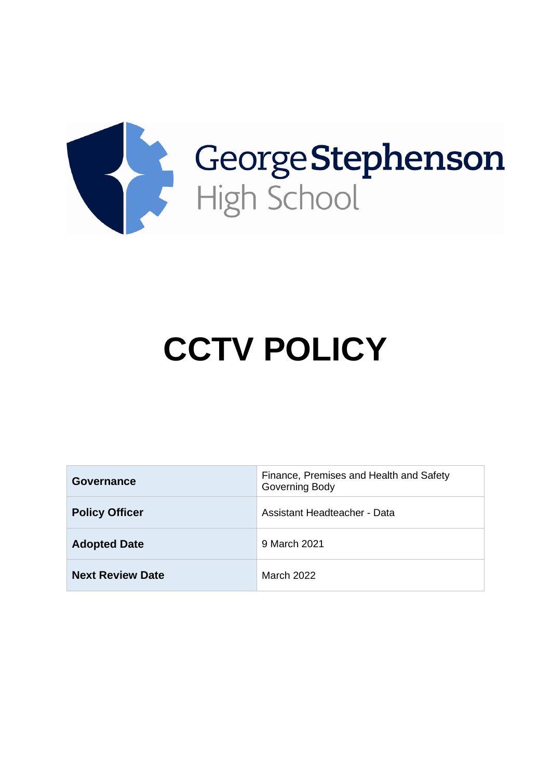

# **CCTV POLICY**

| <b>Governance</b>       | Finance, Premises and Health and Safety<br>Governing Body |
|-------------------------|-----------------------------------------------------------|
| <b>Policy Officer</b>   | <b>Assistant Headteacher - Data</b>                       |
| <b>Adopted Date</b>     | 9 March 2021                                              |
| <b>Next Review Date</b> | <b>March 2022</b>                                         |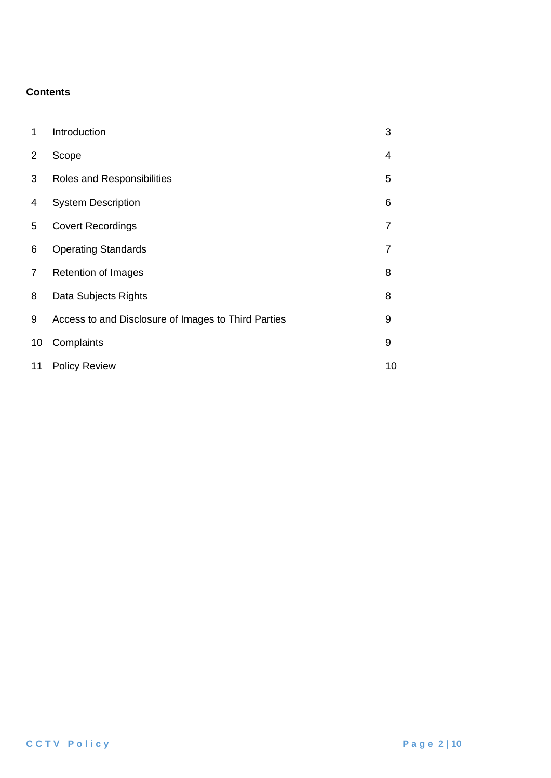## **Contents**

| 1  | Introduction                                        | 3              |
|----|-----------------------------------------------------|----------------|
| 2  | Scope                                               | 4              |
| 3  | Roles and Responsibilities                          | 5              |
| 4  | <b>System Description</b>                           | 6              |
| 5  | <b>Covert Recordings</b>                            | $\overline{7}$ |
| 6  | <b>Operating Standards</b>                          | $\overline{7}$ |
| 7  | <b>Retention of Images</b>                          | 8              |
| 8  | Data Subjects Rights                                | 8              |
| 9  | Access to and Disclosure of Images to Third Parties | 9              |
| 10 | Complaints                                          | 9              |
| 11 | <b>Policy Review</b>                                | 10             |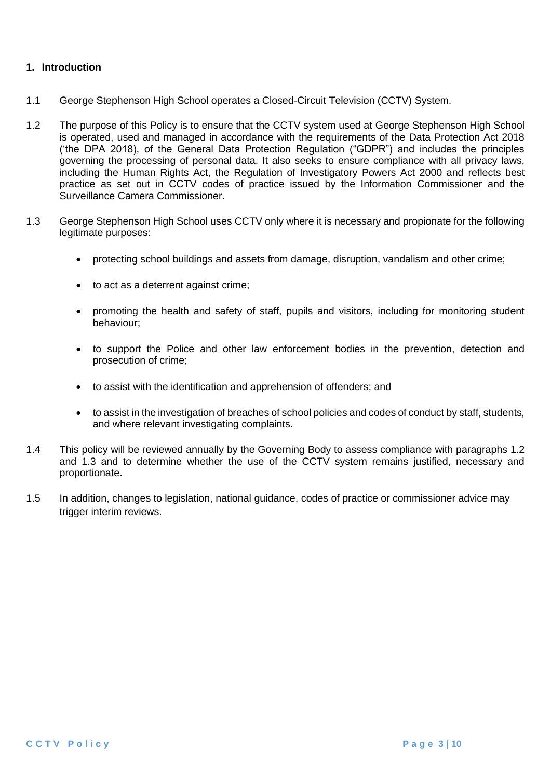## **1. Introduction**

- 1.1 George Stephenson High School operates a Closed-Circuit Television (CCTV) System.
- 1.2 The purpose of this Policy is to ensure that the CCTV system used at George Stephenson High School is operated, used and managed in accordance with the requirements of the Data Protection Act 2018 ('the DPA 2018), of the General Data Protection Regulation ("GDPR") and includes the principles governing the processing of personal data. It also seeks to ensure compliance with all privacy laws, including the Human Rights Act, the Regulation of Investigatory Powers Act 2000 and reflects best practice as set out in CCTV codes of practice issued by the Information Commissioner and the Surveillance Camera Commissioner.
- 1.3 George Stephenson High School uses CCTV only where it is necessary and propionate for the following legitimate purposes:
	- protecting school buildings and assets from damage, disruption, vandalism and other crime;
	- to act as a deterrent against crime;
	- promoting the health and safety of staff, pupils and visitors, including for monitoring student behaviour;
	- to support the Police and other law enforcement bodies in the prevention, detection and prosecution of crime;
	- to assist with the identification and apprehension of offenders; and
	- to assist in the investigation of breaches of school policies and codes of conduct by staff, students, and where relevant investigating complaints.
- 1.4 This policy will be reviewed annually by the Governing Body to assess compliance with paragraphs 1.2 and 1.3 and to determine whether the use of the CCTV system remains justified, necessary and proportionate.
- 1.5 In addition, changes to legislation, national guidance, codes of practice or commissioner advice may trigger interim reviews.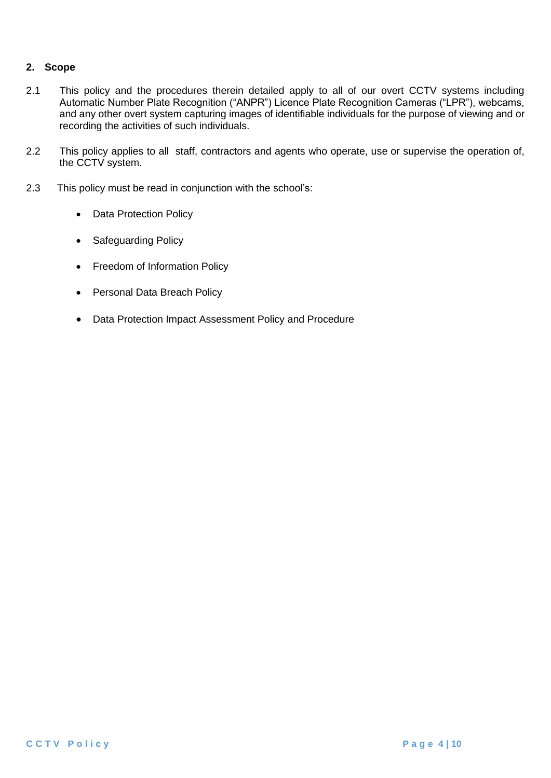## **2. Scope**

- 2.1 This policy and the procedures therein detailed apply to all of our overt CCTV systems including Automatic Number Plate Recognition ("ANPR") Licence Plate Recognition Cameras ("LPR"), webcams, and any other overt system capturing images of identifiable individuals for the purpose of viewing and or recording the activities of such individuals.
- 2.2 This policy applies to all staff, contractors and agents who operate, use or supervise the operation of, the CCTV system.
- 2.3 This policy must be read in conjunction with the school's:
	- Data Protection Policy
	- Safeguarding Policy
	- Freedom of Information Policy
	- Personal Data Breach Policy
	- Data Protection Impact Assessment Policy and Procedure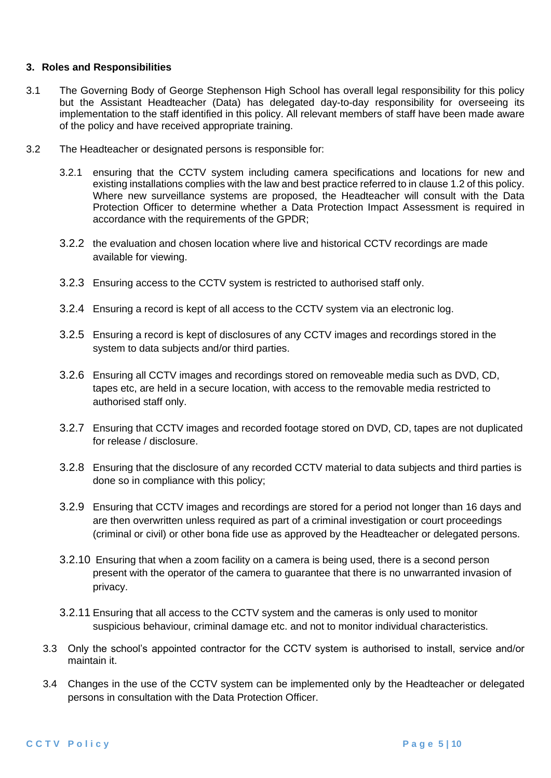### **3. Roles and Responsibilities**

- 3.1 The Governing Body of George Stephenson High School has overall legal responsibility for this policy but the Assistant Headteacher (Data) has delegated day-to-day responsibility for overseeing its implementation to the staff identified in this policy. All relevant members of staff have been made aware of the policy and have received appropriate training.
- 3.2 The Headteacher or designated persons is responsible for:
	- 3.2.1 ensuring that the CCTV system including camera specifications and locations for new and existing installations complies with the law and best practice referred to in clause 1.2 of this policy. Where new surveillance systems are proposed, the Headteacher will consult with the Data Protection Officer to determine whether a Data Protection Impact Assessment is required in accordance with the requirements of the GPDR;
	- 3.2.2 the evaluation and chosen location where live and historical CCTV recordings are made available for viewing.
	- 3.2.3 Ensuring access to the CCTV system is restricted to authorised staff only.
	- 3.2.4 Ensuring a record is kept of all access to the CCTV system via an electronic log.
	- 3.2.5 Ensuring a record is kept of disclosures of any CCTV images and recordings stored in the system to data subjects and/or third parties.
	- 3.2.6 Ensuring all CCTV images and recordings stored on removeable media such as DVD, CD, tapes etc, are held in a secure location, with access to the removable media restricted to authorised staff only.
	- 3.2.7 Ensuring that CCTV images and recorded footage stored on DVD, CD, tapes are not duplicated for release / disclosure.
	- 3.2.8 Ensuring that the disclosure of any recorded CCTV material to data subjects and third parties is done so in compliance with this policy;
	- 3.2.9 Ensuring that CCTV images and recordings are stored for a period not longer than 16 days and are then overwritten unless required as part of a criminal investigation or court proceedings (criminal or civil) or other bona fide use as approved by the Headteacher or delegated persons.
	- 3.2.10 Ensuring that when a zoom facility on a camera is being used, there is a second person present with the operator of the camera to guarantee that there is no unwarranted invasion of privacy.
	- 3.2.11 Ensuring that all access to the CCTV system and the cameras is only used to monitor suspicious behaviour, criminal damage etc. and not to monitor individual characteristics.
	- 3.3 Only the school's appointed contractor for the CCTV system is authorised to install, service and/or maintain it.
	- 3.4 Changes in the use of the CCTV system can be implemented only by the Headteacher or delegated persons in consultation with the Data Protection Officer.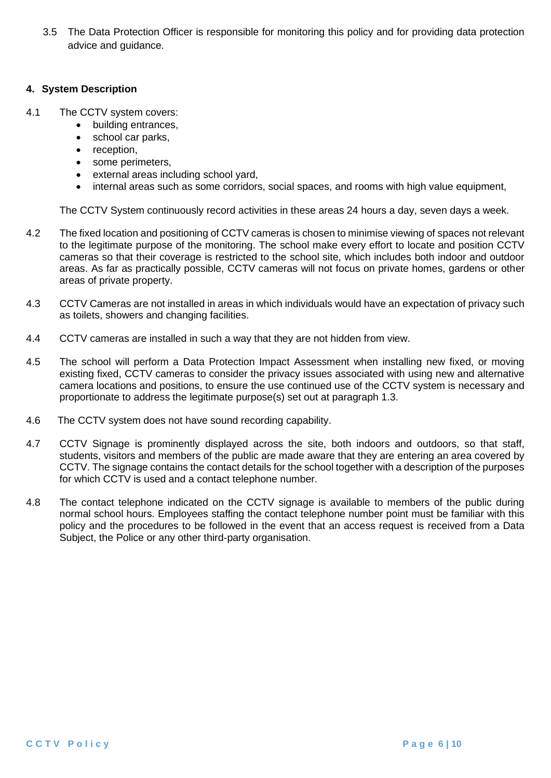3.5 The Data Protection Officer is responsible for monitoring this policy and for providing data protection advice and guidance.

### **4. System Description**

- 4.1 The CCTV system covers:
	- building entrances,
	- school car parks.
	- reception,
	- some perimeters,
	- external areas including school yard,
	- internal areas such as some corridors, social spaces, and rooms with high value equipment,

The CCTV System continuously record activities in these areas 24 hours a day, seven days a week.

- 4.2 The fixed location and positioning of CCTV cameras is chosen to minimise viewing of spaces not relevant to the legitimate purpose of the monitoring. The school make every effort to locate and position CCTV cameras so that their coverage is restricted to the school site, which includes both indoor and outdoor areas. As far as practically possible, CCTV cameras will not focus on private homes, gardens or other areas of private property.
- 4.3 CCTV Cameras are not installed in areas in which individuals would have an expectation of privacy such as toilets, showers and changing facilities.
- 4.4 CCTV cameras are installed in such a way that they are not hidden from view.
- 4.5 The school will perform a Data Protection Impact Assessment when installing new fixed, or moving existing fixed, CCTV cameras to consider the privacy issues associated with using new and alternative camera locations and positions, to ensure the use continued use of the CCTV system is necessary and proportionate to address the legitimate purpose(s) set out at paragraph 1.3.
- 4.6 The CCTV system does not have sound recording capability.
- 4.7 CCTV Signage is prominently displayed across the site, both indoors and outdoors, so that staff, students, visitors and members of the public are made aware that they are entering an area covered by CCTV. The signage contains the contact details for the school together with a description of the purposes for which CCTV is used and a contact telephone number.
- 4.8 The contact telephone indicated on the CCTV signage is available to members of the public during normal school hours. Employees staffing the contact telephone number point must be familiar with this policy and the procedures to be followed in the event that an access request is received from a Data Subject, the Police or any other third-party organisation.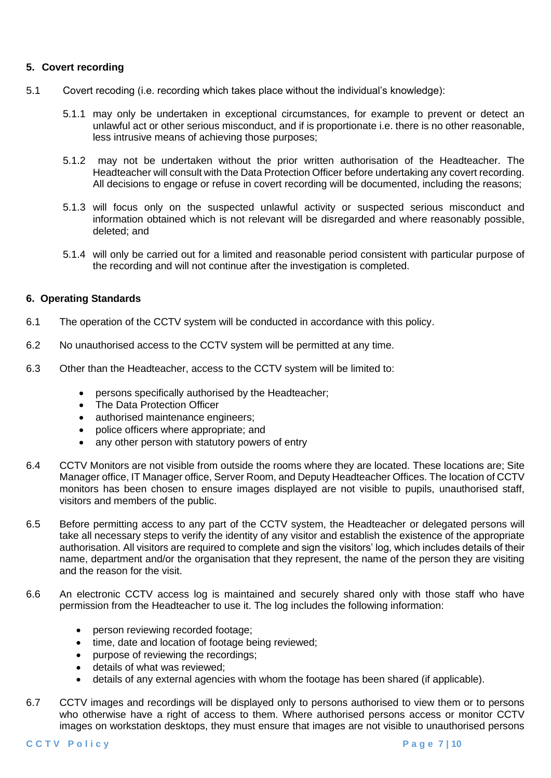## **5. Covert recording**

- 5.1 Covert recoding (i.e. recording which takes place without the individual's knowledge):
	- 5.1.1 may only be undertaken in exceptional circumstances, for example to prevent or detect an unlawful act or other serious misconduct, and if is proportionate i.e. there is no other reasonable, less intrusive means of achieving those purposes;
	- 5.1.2 may not be undertaken without the prior written authorisation of the Headteacher. The Headteacher will consult with the Data Protection Officer before undertaking any covert recording. All decisions to engage or refuse in covert recording will be documented, including the reasons;
	- 5.1.3 will focus only on the suspected unlawful activity or suspected serious misconduct and information obtained which is not relevant will be disregarded and where reasonably possible, deleted; and
	- 5.1.4 will only be carried out for a limited and reasonable period consistent with particular purpose of the recording and will not continue after the investigation is completed.

### **6. Operating Standards**

- 6.1 The operation of the CCTV system will be conducted in accordance with this policy.
- 6.2 No unauthorised access to the CCTV system will be permitted at any time.
- 6.3 Other than the Headteacher, access to the CCTV system will be limited to:
	- persons specifically authorised by the Headteacher;
	- The Data Protection Officer
	- authorised maintenance engineers;
	- police officers where appropriate; and
	- any other person with statutory powers of entry
- 6.4 CCTV Monitors are not visible from outside the rooms where they are located. These locations are; Site Manager office, IT Manager office, Server Room, and Deputy Headteacher Offices. The location of CCTV monitors has been chosen to ensure images displayed are not visible to pupils, unauthorised staff, visitors and members of the public.
- 6.5 Before permitting access to any part of the CCTV system, the Headteacher or delegated persons will take all necessary steps to verify the identity of any visitor and establish the existence of the appropriate authorisation. All visitors are required to complete and sign the visitors' log, which includes details of their name, department and/or the organisation that they represent, the name of the person they are visiting and the reason for the visit.
- 6.6 An electronic CCTV access log is maintained and securely shared only with those staff who have permission from the Headteacher to use it. The log includes the following information:
	- person reviewing recorded footage:
	- time, date and location of footage being reviewed:
	- purpose of reviewing the recordings;
	- details of what was reviewed;
	- details of any external agencies with whom the footage has been shared (if applicable).
- 6.7 CCTV images and recordings will be displayed only to persons authorised to view them or to persons who otherwise have a right of access to them. Where authorised persons access or monitor CCTV images on workstation desktops, they must ensure that images are not visible to unauthorised persons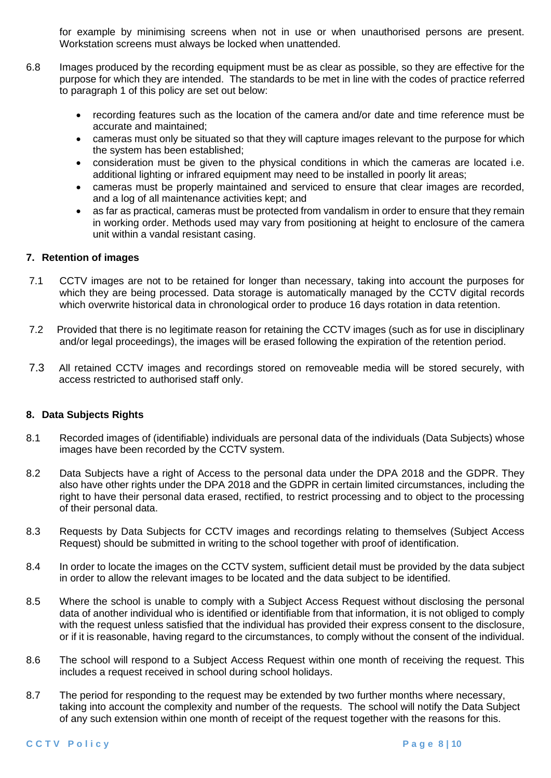for example by minimising screens when not in use or when unauthorised persons are present. Workstation screens must always be locked when unattended.

- 6.8 Images produced by the recording equipment must be as clear as possible, so they are effective for the purpose for which they are intended. The standards to be met in line with the codes of practice referred to paragraph 1 of this policy are set out below:
	- recording features such as the location of the camera and/or date and time reference must be accurate and maintained;
	- cameras must only be situated so that they will capture images relevant to the purpose for which the system has been established;
	- consideration must be given to the physical conditions in which the cameras are located i.e. additional lighting or infrared equipment may need to be installed in poorly lit areas;
	- cameras must be properly maintained and serviced to ensure that clear images are recorded, and a log of all maintenance activities kept; and
	- as far as practical, cameras must be protected from vandalism in order to ensure that they remain in working order. Methods used may vary from positioning at height to enclosure of the camera unit within a vandal resistant casing.

## **7. Retention of images**

- 7.1 CCTV images are not to be retained for longer than necessary, taking into account the purposes for which they are being processed. Data storage is automatically managed by the CCTV digital records which overwrite historical data in chronological order to produce 16 days rotation in data retention.
- 7.2 Provided that there is no legitimate reason for retaining the CCTV images (such as for use in disciplinary and/or legal proceedings), the images will be erased following the expiration of the retention period.
- 7.3 All retained CCTV images and recordings stored on removeable media will be stored securely, with access restricted to authorised staff only.

### **8. Data Subjects Rights**

- 8.1 Recorded images of (identifiable) individuals are personal data of the individuals (Data Subjects) whose images have been recorded by the CCTV system.
- 8.2 Data Subjects have a right of Access to the personal data under the DPA 2018 and the GDPR. They also have other rights under the DPA 2018 and the GDPR in certain limited circumstances, including the right to have their personal data erased, rectified, to restrict processing and to object to the processing of their personal data.
- 8.3 Requests by Data Subjects for CCTV images and recordings relating to themselves (Subject Access Request) should be submitted in writing to the school together with proof of identification.
- 8.4 In order to locate the images on the CCTV system, sufficient detail must be provided by the data subject in order to allow the relevant images to be located and the data subject to be identified.
- 8.5 Where the school is unable to comply with a Subject Access Request without disclosing the personal data of another individual who is identified or identifiable from that information, it is not obliged to comply with the request unless satisfied that the individual has provided their express consent to the disclosure, or if it is reasonable, having regard to the circumstances, to comply without the consent of the individual.
- 8.6 The school will respond to a Subject Access Request within one month of receiving the request. This includes a request received in school during school holidays.
- 8.7 The period for responding to the request may be extended by two further months where necessary, taking into account the complexity and number of the requests. The school will notify the Data Subject of any such extension within one month of receipt of the request together with the reasons for this.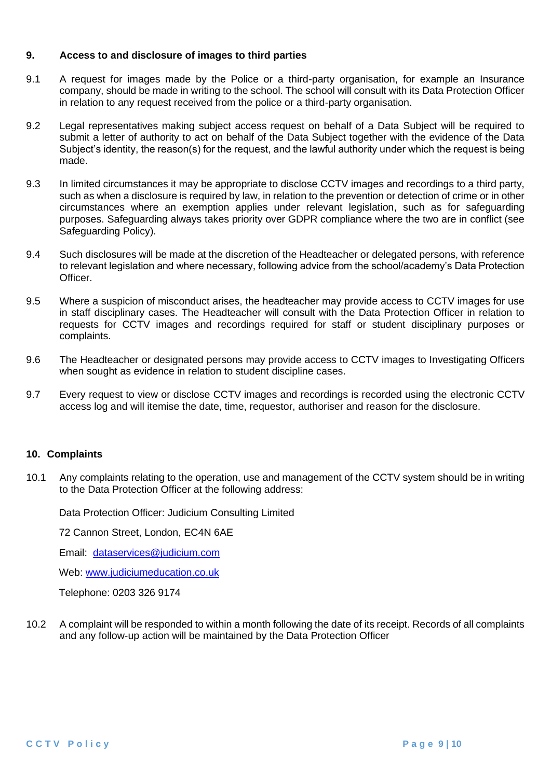#### **9. Access to and disclosure of images to third parties**

- 9.1 A request for images made by the Police or a third-party organisation, for example an Insurance company, should be made in writing to the school. The school will consult with its Data Protection Officer in relation to any request received from the police or a third-party organisation.
- 9.2 Legal representatives making subject access request on behalf of a Data Subject will be required to submit a letter of authority to act on behalf of the Data Subject together with the evidence of the Data Subject's identity, the reason(s) for the request, and the lawful authority under which the request is being made.
- 9.3 In limited circumstances it may be appropriate to disclose CCTV images and recordings to a third party, such as when a disclosure is required by law, in relation to the prevention or detection of crime or in other circumstances where an exemption applies under relevant legislation, such as for safeguarding purposes. Safeguarding always takes priority over GDPR compliance where the two are in conflict (see Safeguarding Policy).
- 9.4 Such disclosures will be made at the discretion of the Headteacher or delegated persons, with reference to relevant legislation and where necessary, following advice from the school/academy's Data Protection Officer.
- 9.5 Where a suspicion of misconduct arises, the headteacher may provide access to CCTV images for use in staff disciplinary cases. The Headteacher will consult with the Data Protection Officer in relation to requests for CCTV images and recordings required for staff or student disciplinary purposes or complaints.
- 9.6 The Headteacher or designated persons may provide access to CCTV images to Investigating Officers when sought as evidence in relation to student discipline cases.
- 9.7 Every request to view or disclose CCTV images and recordings is recorded using the electronic CCTV access log and will itemise the date, time, requestor, authoriser and reason for the disclosure.

### **10. Complaints**

10.1 Any complaints relating to the operation, use and management of the CCTV system should be in writing to the Data Protection Officer at the following address:

Data Protection Officer: Judicium Consulting Limited

72 Cannon Street, London, EC4N 6AE

Email: [dataservices@judicium.com](mailto:dataservices@judicium.com)

Web: [www.judiciumeducation.co.uk](http://www.judiciumeducation.co.uk/)

Telephone: 0203 326 9174

10.2 A complaint will be responded to within a month following the date of its receipt. Records of all complaints and any follow-up action will be maintained by the Data Protection Officer